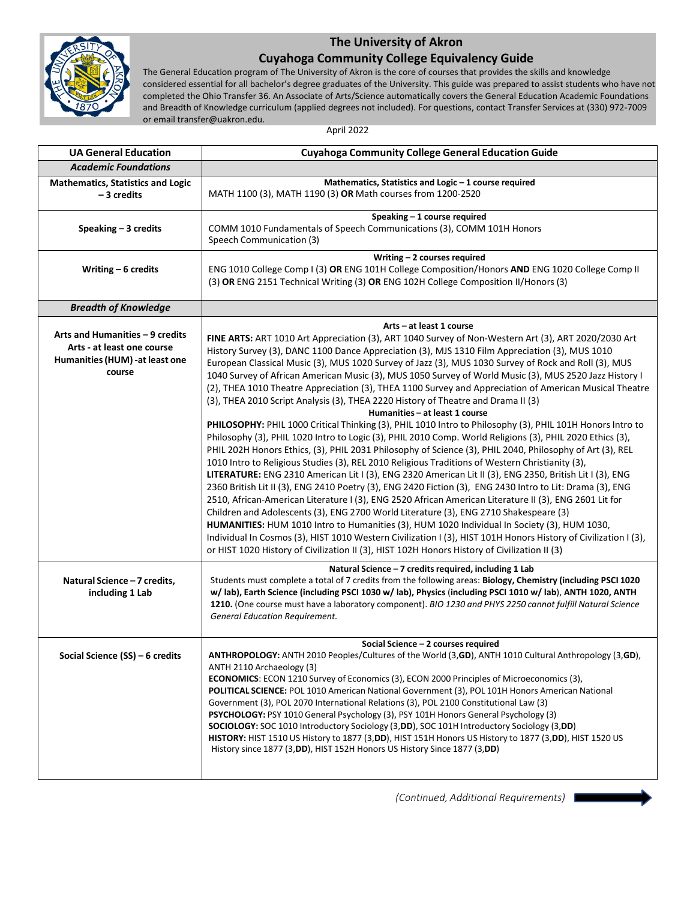

## **The University of Akron**

## **Cuyahoga Community College Equivalency Guide**

The General Education program of The University of Akron is the core of courses that provides the skills and knowledge considered essential for all bachelor's degree graduates of the University. This guide was prepared to assist students who have not completed the Ohio Transfer 36. An Associate of Arts/Science automatically covers the General Education Academic Foundations and Breadth of Knowledge curriculum (applied degrees not included). For questions, contact Transfer Services at (330) 972-7009 or email transfer@uakron.edu.

April 2022

| <b>UA General Education</b>                                                                               | <b>Cuyahoga Community College General Education Guide</b>                                                                                                                                                                                                                                                                                                                                                                                                                                                                                                                                                                                                                                                                                                                                                                                                                                                                                                                                                                                                                                                                                                                                                                                                                                                                                                                                                                                                                                                                                                                                                                                                                                                                                                                                                                                                                 |
|-----------------------------------------------------------------------------------------------------------|---------------------------------------------------------------------------------------------------------------------------------------------------------------------------------------------------------------------------------------------------------------------------------------------------------------------------------------------------------------------------------------------------------------------------------------------------------------------------------------------------------------------------------------------------------------------------------------------------------------------------------------------------------------------------------------------------------------------------------------------------------------------------------------------------------------------------------------------------------------------------------------------------------------------------------------------------------------------------------------------------------------------------------------------------------------------------------------------------------------------------------------------------------------------------------------------------------------------------------------------------------------------------------------------------------------------------------------------------------------------------------------------------------------------------------------------------------------------------------------------------------------------------------------------------------------------------------------------------------------------------------------------------------------------------------------------------------------------------------------------------------------------------------------------------------------------------------------------------------------------------|
| <b>Academic Foundations</b>                                                                               |                                                                                                                                                                                                                                                                                                                                                                                                                                                                                                                                                                                                                                                                                                                                                                                                                                                                                                                                                                                                                                                                                                                                                                                                                                                                                                                                                                                                                                                                                                                                                                                                                                                                                                                                                                                                                                                                           |
| <b>Mathematics, Statistics and Logic</b><br>-3 credits                                                    | Mathematics, Statistics and Logic - 1 course required<br>MATH 1100 (3), MATH 1190 (3) OR Math courses from 1200-2520                                                                                                                                                                                                                                                                                                                                                                                                                                                                                                                                                                                                                                                                                                                                                                                                                                                                                                                                                                                                                                                                                                                                                                                                                                                                                                                                                                                                                                                                                                                                                                                                                                                                                                                                                      |
| Speaking $-3$ credits                                                                                     | Speaking - 1 course required<br>COMM 1010 Fundamentals of Speech Communications (3), COMM 101H Honors<br>Speech Communication (3)                                                                                                                                                                                                                                                                                                                                                                                                                                                                                                                                                                                                                                                                                                                                                                                                                                                                                                                                                                                                                                                                                                                                                                                                                                                                                                                                                                                                                                                                                                                                                                                                                                                                                                                                         |
| Writing $-6$ credits                                                                                      | Writing $-2$ courses required<br>ENG 1010 College Comp I (3) OR ENG 101H College Composition/Honors AND ENG 1020 College Comp II<br>(3) OR ENG 2151 Technical Writing (3) OR ENG 102H College Composition II/Honors (3)                                                                                                                                                                                                                                                                                                                                                                                                                                                                                                                                                                                                                                                                                                                                                                                                                                                                                                                                                                                                                                                                                                                                                                                                                                                                                                                                                                                                                                                                                                                                                                                                                                                   |
| <b>Breadth of Knowledge</b>                                                                               |                                                                                                                                                                                                                                                                                                                                                                                                                                                                                                                                                                                                                                                                                                                                                                                                                                                                                                                                                                                                                                                                                                                                                                                                                                                                                                                                                                                                                                                                                                                                                                                                                                                                                                                                                                                                                                                                           |
| Arts and Humanities - 9 credits<br>Arts - at least one course<br>Humanities (HUM) -at least one<br>course | Arts - at least 1 course<br>FINE ARTS: ART 1010 Art Appreciation (3), ART 1040 Survey of Non-Western Art (3), ART 2020/2030 Art<br>History Survey (3), DANC 1100 Dance Appreciation (3), MJS 1310 Film Appreciation (3), MUS 1010<br>European Classical Music (3), MUS 1020 Survey of Jazz (3), MUS 1030 Survey of Rock and Roll (3), MUS<br>1040 Survey of African American Music (3), MUS 1050 Survey of World Music (3), MUS 2520 Jazz History I<br>(2), THEA 1010 Theatre Appreciation (3), THEA 1100 Survey and Appreciation of American Musical Theatre<br>(3), THEA 2010 Script Analysis (3), THEA 2220 History of Theatre and Drama II (3)<br>Humanities - at least 1 course<br>PHILOSOPHY: PHIL 1000 Critical Thinking (3), PHIL 1010 Intro to Philosophy (3), PHIL 101H Honors Intro to<br>Philosophy (3), PHIL 1020 Intro to Logic (3), PHIL 2010 Comp. World Religions (3), PHIL 2020 Ethics (3),<br>PHIL 202H Honors Ethics, (3), PHIL 2031 Philosophy of Science (3), PHIL 2040, Philosophy of Art (3), REL<br>1010 Intro to Religious Studies (3), REL 2010 Religious Traditions of Western Christianity (3),<br>LITERATURE: ENG 2310 American Lit I (3), ENG 2320 American Lit II (3), ENG 2350, British Lit I (3), ENG<br>2360 British Lit II (3), ENG 2410 Poetry (3), ENG 2420 Fiction (3), ENG 2430 Intro to Lit: Drama (3), ENG<br>2510, African-American Literature I (3), ENG 2520 African American Literature II (3), ENG 2601 Lit for<br>Children and Adolescents (3), ENG 2700 World Literature (3), ENG 2710 Shakespeare (3)<br>HUMANITIES: HUM 1010 Intro to Humanities (3), HUM 1020 Individual In Society (3), HUM 1030,<br>Individual In Cosmos (3), HIST 1010 Western Civilization I (3), HIST 101H Honors History of Civilization I (3),<br>or HIST 1020 History of Civilization II (3), HIST 102H Honors History of Civilization II (3) |
| Natural Science - 7 credits,<br>including 1 Lab                                                           | Natural Science - 7 credits required, including 1 Lab<br>Students must complete a total of 7 credits from the following areas: Biology, Chemistry (including PSCI 1020<br>w/ lab), Earth Science (including PSCI 1030 w/ lab), Physics (including PSCI 1010 w/ lab), ANTH 1020, ANTH<br>1210. (One course must have a laboratory component). BIO 1230 and PHYS 2250 cannot fulfill Natural Science<br><b>General Education Requirement.</b>                                                                                                                                                                                                                                                                                                                                                                                                                                                                                                                                                                                                                                                                                                                                                                                                                                                                                                                                                                                                                                                                                                                                                                                                                                                                                                                                                                                                                               |
| Social Science (SS) - 6 credits                                                                           | Social Science - 2 courses required<br><b>ANTHROPOLOGY:</b> ANTH 2010 Peoples/Cultures of the World (3, <b>GD</b> ), ANTH 1010 Cultural Anthropology (3, <b>GD</b> ),<br>ANTH 2110 Archaeology (3)<br><b>ECONOMICS:</b> ECON 1210 Survey of Economics (3), ECON 2000 Principles of Microeconomics (3),<br>POLITICAL SCIENCE: POL 1010 American National Government (3), POL 101H Honors American National<br>Government (3), POL 2070 International Relations (3), POL 2100 Constitutional Law (3)<br>PSYCHOLOGY: PSY 1010 General Psychology (3), PSY 101H Honors General Psychology (3)<br>SOCIOLOGY: SOC 1010 Introductory Sociology (3,DD), SOC 101H Introductory Sociology (3,DD)<br>HISTORY: HIST 1510 US History to 1877 (3,DD), HIST 151H Honors US History to 1877 (3,DD), HIST 1520 US<br>History since 1877 (3, DD), HIST 152H Honors US History Since 1877 (3, DD)                                                                                                                                                                                                                                                                                                                                                                                                                                                                                                                                                                                                                                                                                                                                                                                                                                                                                                                                                                                            |

*(Continued, Additional Requirements)*